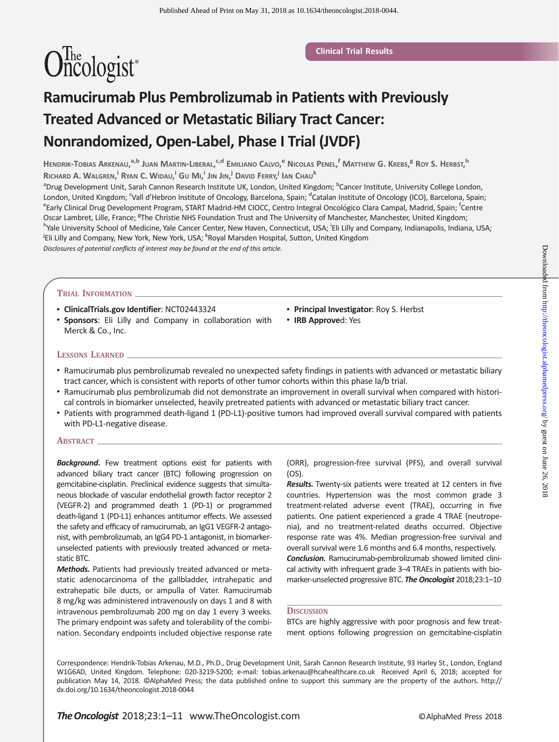# $\widehat{\text{Onicologist}}$ <sup>\*</sup>

# Ramucirumab Plus Pembrolizumab in Patients with Previously Treated Advanced or Metastatic Biliary Tract Cancer: Nonrandomized, Open-Label, Phase I Trial (JVDF)

Hendrik-Tobias Arkenau,<sup>a,b</sup> Juan Martin-Liberal,<sup>c,d</sup> Emiliano Calvo,<sup>e</sup> Nicolas Penel,<sup>f</sup> Matthew G. Krebs,<sup>g</sup> Roy S. Herbst,<sup>h</sup> Richard A. Walgren, <sup>i</sup> Ryan C. Widau,<sup>i</sup> Gu Mi,<sup>i</sup> Jin Jin,<sup>i</sup> David Ferry,<sup>i</sup> Ian Chau<sup>k</sup>

<sup>a</sup>Drug Development Unit, Sarah Cannon Research Institute UK, London, United Kingdom; <sup>b</sup>Cancer Institute, University College London, London, United Kingdom; <sup>c</sup>Vall d'Hebron Institute of Oncology, Barcelona, Spain; <sup>d</sup>Catalan Institute of Oncology (ICO), Barcelona, Spain;<br>EFarly Clinical Drug Dovelopment Program, START Madrid HM CIOCC, Contre Integral O Early Clinical Drug Development Program, START Madrid-HM CIOCC, Centro Integral Oncológico Clara Campal, Madrid, Spain; <sup>f</sup>Centre Oscar Lambret, Lille, France; <sup>g</sup>The Christie NHS Foundation Trust and The University of Manchester, Manchester, United Kingdom;<br><sup>h</sup>Yalo University School of Medicine, Yalo Cancer Center, Naw Haven, Connecticut, USA; <sup>i</sup>El Yale University School of Medicine, Yale Cancer Center, New Haven, Connecticut, USA; <sup>i</sup>Eli Lilly and Company, Indianapolis, Indiana, USA; <sup>j</sup>Eli Lilly and Company, New York, New York, USA; <sup>k</sup>Royal Marsden Hospital, Sutton, United Kingdom Disclosures of potential conflicts of interest may be found at the end of this article.

#### TRIAL INFORMATION

- ClinicalTrials.gov Identifier: [NCT02443324](https://clinicaltrials.gov/ct2/show/NCT02443324)
- Sponsors: Eli Lilly and Company in collaboration with Merck & Co., Inc.
- Principal Investigator: Roy S. Herbst
- IRB Approved: Yes

#### LESSONS LEARNED

- Ramucirumab plus pembrolizumab revealed no unexpected safety findings in patients with advanced or metastatic biliary tract cancer, which is consistent with reports of other tumor cohorts within this phase Ia/b trial.
- Ramucirumab plus pembrolizumab did not demonstrate an improvement in overall survival when compared with historical controls in biomarker unselected, heavily pretreated patients with advanced or metastatic biliary tract cancer.
- Patients with programmed death-ligand 1 (PD-L1)-positive tumors had improved overall survival compared with patients with PD-L1-negative disease.

#### ABSTRACT\_

**Background.** Few treatment options exist for patients with advanced biliary tract cancer (BTC) following progression on gemcitabine-cisplatin. Preclinical evidence suggests that simultaneous blockade of vascular endothelial growth factor receptor 2 (VEGFR-2) and programmed death 1 (PD-1) or programmed death-ligand 1 (PD-L1) enhances antitumor effects. We assessed the safety and efficacy of ramucirumab, an IgG1 VEGFR-2 antagonist, with pembrolizumab, an IgG4 PD-1 antagonist, in biomarkerunselected patients with previously treated advanced or metastatic BTC.

Methods. Patients had previously treated advanced or metastatic adenocarcinoma of the gallbladder, intrahepatic and extrahepatic bile ducts, or ampulla of Vater. Ramucirumab 8 mg/kg was administered intravenously on days 1 and 8 with intravenous pembrolizumab 200 mg on day 1 every 3 weeks. The primary endpoint was safety and tolerability of the combination. Secondary endpoints included objective response rate

(ORR), progression-free survival (PFS), and overall survival (OS).

Results. Twenty-six patients were treated at 12 centers in five countries. Hypertension was the most common grade 3 treatment-related adverse event (TRAE), occurring in five patients. One patient experienced a grade 4 TRAE (neutropenia), and no treatment-related deaths occurred. Objective response rate was 4%. Median progression-free survival and overall survival were 1.6 months and 6.4 months, respectively.

Conclusion. Ramucirumab-pembrolizumab showed limited clinical activity with infrequent grade 3–4 TRAEs in patients with biomarker-unselected progressive BTC. The Oncologist 2018;23:1-10

#### **DISCUSSION**

BTCs are highly aggressive with poor prognosis and few treatment options following progression on gemcitabine-cisplatin

Correspondence: Hendrik-Tobias Arkenau, M.D., Ph.D., Drug Development Unit, Sarah Cannon Research Institute, 93 Harley St., London, England W1G6AD, United Kingdom. Telephone: 020-3219-5200; e-mail: tobias.arkenau@hcahealthcare.co.uk Received April 6, 2018; accepted for publication May 14, 2018. ©AlphaMed Press; the data published online to support this summary are the property of the authors. http:// dx.doi.org/10.1634/theoncologist.2018-0044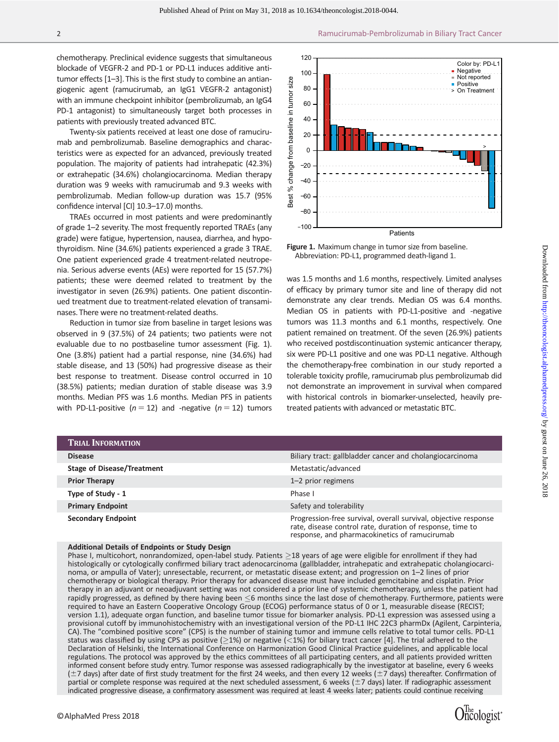chemotherapy. Preclinical evidence suggests that simultaneous blockade of VEGFR-2 and PD-1 or PD-L1 induces additive antitumor effects [1–3]. This is the first study to combine an antiangiogenic agent (ramucirumab, an IgG1 VEGFR-2 antagonist) with an immune checkpoint inhibitor (pembrolizumab, an IgG4 PD-1 antagonist) to simultaneously target both processes in patients with previously treated advanced BTC.

Twenty-six patients received at least one dose of ramucirumab and pembrolizumab. Baseline demographics and characteristics were as expected for an advanced, previously treated population. The majority of patients had intrahepatic (42.3%) or extrahepatic (34.6%) cholangiocarcinoma. Median therapy duration was 9 weeks with ramucirumab and 9.3 weeks with pembrolizumab. Median follow-up duration was 15.7 (95% confidence interval [CI] 10.3–17.0) months.

TRAEs occurred in most patients and were predominantly of grade 1–2 severity. The most frequently reported TRAEs (any grade) were fatigue, hypertension, nausea, diarrhea, and hypothyroidism. Nine (34.6%) patients experienced a grade 3 TRAE. One patient experienced grade 4 treatment-related neutropenia. Serious adverse events (AEs) were reported for 15 (57.7%) patients; these were deemed related to treatment by the investigator in seven (26.9%) patients. One patient discontinued treatment due to treatment-related elevation of transaminases. There were no treatment-related deaths.

Reduction in tumor size from baseline in target lesions was observed in 9 (37.5%) of 24 patients; two patients were not evaluable due to no postbaseline tumor assessment (Fig. 1). One (3.8%) patient had a partial response, nine (34.6%) had stable disease, and 13 (50%) had progressive disease as their best response to treatment. Disease control occurred in 10 (38.5%) patients; median duration of stable disease was 3.9 months. Median PFS was 1.6 months. Median PFS in patients with PD-L1-positive ( $n = 12$ ) and -negative ( $n = 12$ ) tumors



Figure 1. Maximum change in tumor size from baseline. Abbreviation: PD-L1, programmed death-ligand 1.

was 1.5 months and 1.6 months, respectively. Limited analyses of efficacy by primary tumor site and line of therapy did not demonstrate any clear trends. Median OS was 6.4 months. Median OS in patients with PD-L1-positive and -negative tumors was 11.3 months and 6.1 months, respectively. One patient remained on treatment. Of the seven (26.9%) patients who received postdiscontinuation systemic anticancer therapy, six were PD-L1 positive and one was PD-L1 negative. Although the chemotherapy-free combination in our study reported a tolerable toxicity profile, ramucirumab plus pembrolizumab did not demonstrate an improvement in survival when compared with historical controls in biomarker-unselected, heavily pretreated patients with advanced or metastatic BTC.

| <b>TRIAL INFORMATION</b>          |                                                                                                                                                                               |
|-----------------------------------|-------------------------------------------------------------------------------------------------------------------------------------------------------------------------------|
| <b>Disease</b>                    | Biliary tract: gallbladder cancer and cholangiocarcinoma                                                                                                                      |
| <b>Stage of Disease/Treatment</b> | Metastatic/advanced                                                                                                                                                           |
| <b>Prior Therapy</b>              | 1-2 prior regimens                                                                                                                                                            |
| Type of Study - 1                 | Phase I                                                                                                                                                                       |
| <b>Primary Endpoint</b>           | Safety and tolerability                                                                                                                                                       |
| <b>Secondary Endpoint</b>         | Progression-free survival, overall survival, objective response<br>rate, disease control rate, duration of response, time to<br>response, and pharmacokinetics of ramucirumab |

#### Additional Details of Endpoints or Study Design

Phase I, multicohort, nonrandomized, open-label study. Patients  $\geq$ 18 years of age were eligible for enrollment if they had histologically or cytologically confirmed biliary tract adenocarcinoma (gallbladder, intrahepatic and extrahepatic cholangiocarcinoma, or ampulla of Vater); unresectable, recurrent, or metastatic disease extent; and progression on 1–2 lines of prior chemotherapy or biological therapy. Prior therapy for advanced disease must have included gemcitabine and cisplatin. Prior therapy in an adjuvant or neoadjuvant setting was not considered a prior line of systemic chemotherapy, unless the patient had rapidly progressed, as defined by there having been  $\leq$ 6 months since the last dose of chemotherapy. Furthermore, patients were required to have an Eastern Cooperative Oncology Group (ECOG) performance status of 0 or 1, measurable disease (RECIST; version 1.1), adequate organ function, and baseline tumor tissue for biomarker analysis. PD-L1 expression was assessed using a provisional cutoff by immunohistochemistry with an investigational version of the PD-L1 IHC 22C3 pharmDx (Agilent, Carpinteria, CA). The "combined positive score" (CPS) is the number of staining tumor and immune cells relative to total tumor cells. PD-L1 status was classified by using CPS as positive ( $\geq$ 1%) or negative (<1%) for biliary tract cancer [4]. The trial adhered to the Declaration of Helsinki, the International Conference on Harmonization Good Clinical Practice guidelines, and applicable local regulations. The protocol was approved by the ethics committees of all participating centers, and all patients provided written informed consent before study entry. Tumor response was assessed radiographically by the investigator at baseline, every 6 weeks  $(±7$  days) after date of first study treatment for the first 24 weeks, and then every 12 weeks ( $±7$  days) thereafter. Confirmation of partial or complete response was required at the next scheduled assessment, 6 weeks ( $\pm$ 7 days) later. If radiographic assessment in the method in the state of the method in the state of the state of the state of the state of the state of the state of the state of the state of the state of the state of the state of the state of the state of the stat

Oncologist\*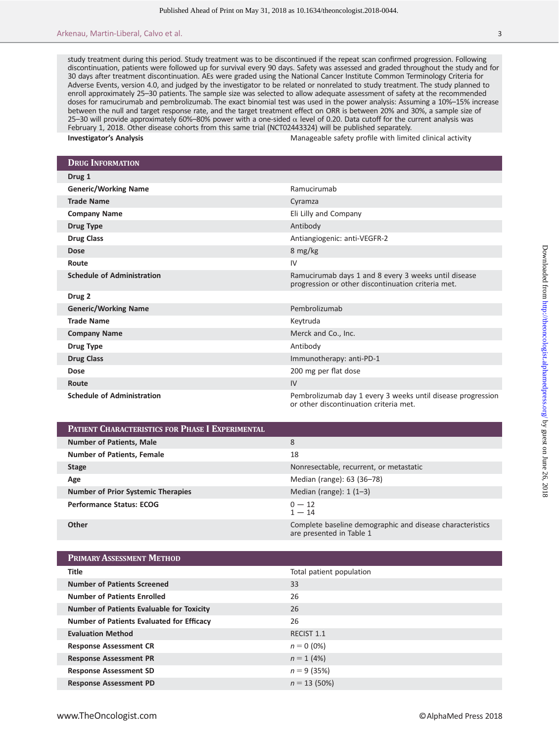study treatment during this period. Study treatment was to be discontinued if the repeat scan confirmed progression. Following discontinuation, patients were followed up for survival every 90 days. Safety was assessed and graded throughout the study and for 30 days after treatment discontinuation. AEs were graded using the National Cancer Institute Common Terminology Criteria for Adverse Events, version 4.0, and judged by the investigator to be related or nonrelated to study treatment. The study planned to enroll approximately 25–30 patients. The sample size was selected to allow adequate assessment of safety at the recommended doses for ramucirumab and pembrolizumab. The exact binomial test was used in the power analysis: Assuming a 10%–15% increase between the null and target response rate, and the target treatment effect on ORR is between 20% and 30%, a sample size of 25–30 will provide approximately 60%–80% power with a one-sided  $\alpha$  level of 0.20. Data cutoff for the current analysis was February 1, 2018. Other disease cohorts from this same trial (NCT02443324) will be published separately.

Investigator's Analysis Manageable safety profile with limited clinical activity

| <b>DRUG INFORMATION</b>           |                                                                                                            |
|-----------------------------------|------------------------------------------------------------------------------------------------------------|
| Drug 1                            |                                                                                                            |
| <b>Generic/Working Name</b>       | Ramucirumab                                                                                                |
| <b>Trade Name</b>                 | Cyramza                                                                                                    |
| <b>Company Name</b>               | Eli Lilly and Company                                                                                      |
| <b>Drug Type</b>                  | Antibody                                                                                                   |
| <b>Drug Class</b>                 | Antiangiogenic: anti-VEGFR-2                                                                               |
| <b>Dose</b>                       | 8 mg/kg                                                                                                    |
| Route                             | IV                                                                                                         |
| <b>Schedule of Administration</b> | Ramucirumab days 1 and 8 every 3 weeks until disease<br>progression or other discontinuation criteria met. |
| Drug 2                            |                                                                                                            |
| <b>Generic/Working Name</b>       | Pembrolizumab                                                                                              |
| <b>Trade Name</b>                 | Keytruda                                                                                                   |
| <b>Company Name</b>               | Merck and Co., Inc.                                                                                        |
| <b>Drug Type</b>                  | Antibody                                                                                                   |
| <b>Drug Class</b>                 | Immunotherapy: anti-PD-1                                                                                   |
| Dose                              | 200 mg per flat dose                                                                                       |
| Route                             | IV                                                                                                         |
| <b>Schedule of Administration</b> | Pembrolizumab day 1 every 3 weeks until disease progression<br>or other discontinuation criteria met.      |

| <b>PATIENT CHARACTERISTICS FOR PHASE I EXPERIMENTAL</b> |                                                                                       |  |  |  |
|---------------------------------------------------------|---------------------------------------------------------------------------------------|--|--|--|
| <b>Number of Patients, Male</b>                         | 8                                                                                     |  |  |  |
| <b>Number of Patients, Female</b>                       | 18                                                                                    |  |  |  |
| <b>Stage</b>                                            | Nonresectable, recurrent, or metastatic                                               |  |  |  |
| Age                                                     | Median (range): 63 (36–78)                                                            |  |  |  |
| <b>Number of Prior Systemic Therapies</b>               | Median (range): $1(1-3)$                                                              |  |  |  |
| <b>Performance Status: ECOG</b>                         | $0 - 12$<br>$1 - 14$                                                                  |  |  |  |
| Other                                                   | Complete baseline demographic and disease characteristics<br>are presented in Table 1 |  |  |  |

| <b>PRIMARY ASSESSMENT METHOD</b>                 |                          |
|--------------------------------------------------|--------------------------|
| <b>Title</b>                                     | Total patient population |
| <b>Number of Patients Screened</b>               | 33                       |
| <b>Number of Patients Enrolled</b>               | 26                       |
| <b>Number of Patients Evaluable for Toxicity</b> | 26                       |
| <b>Number of Patients Evaluated for Efficacy</b> | 26                       |
| <b>Evaluation Method</b>                         | RECIST 1.1               |
| <b>Response Assessment CR</b>                    | $n = 0 (0\%)$            |
| <b>Response Assessment PR</b>                    | $n = 1$ (4%)             |
| <b>Response Assessment SD</b>                    | $n = 9(35%)$             |
| <b>Response Assessment PD</b>                    | $n = 13(50\%)$           |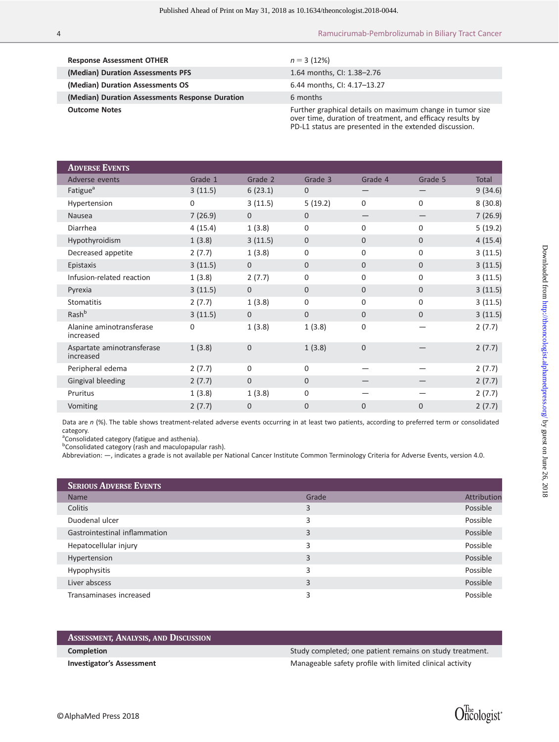| <b>Response Assessment OTHER</b>                | $n = 3(12%)$                                                                                                                                                                     |
|-------------------------------------------------|----------------------------------------------------------------------------------------------------------------------------------------------------------------------------------|
| (Median) Duration Assessments PFS               | 1.64 months, CI: 1.38-2.76                                                                                                                                                       |
| (Median) Duration Assessments OS                | 6.44 months, CI: 4.17-13.27                                                                                                                                                      |
| (Median) Duration Assessments Response Duration | 6 months                                                                                                                                                                         |
| <b>Outcome Notes</b>                            | Further graphical details on maximum change in tumor size<br>over time, duration of treatment, and efficacy results by<br>PD-L1 status are presented in the extended discussion. |

| <b>ADVERSE EVENTS</b>                   |             |              |                |              |              |              |
|-----------------------------------------|-------------|--------------|----------------|--------------|--------------|--------------|
| Adverse events                          | Grade 1     | Grade 2      | Grade 3        | Grade 4      | Grade 5      | <b>Total</b> |
| Fatigue <sup>a</sup>                    | 3(11.5)     | 6(23.1)      | 0              |              |              | 9(34.6)      |
| Hypertension                            | $\mathbf 0$ | 3(11.5)      | 5(19.2)        | $\Omega$     | 0            | 8(30.8)      |
| <b>Nausea</b>                           | 7(26.9)     | $\mathbf{0}$ | 0              | —            | —            | 7(26.9)      |
| Diarrhea                                | 4(15.4)     | 1(3.8)       | $\Omega$       | $\Omega$     | 0            | 5(19.2)      |
| Hypothyroidism                          | 1(3.8)      | 3(11.5)      | $\Omega$       | $\Omega$     | $\mathbf{0}$ | 4(15.4)      |
| Decreased appetite                      | 2(7.7)      | 1(3.8)       | 0              | $\mathbf 0$  | 0            | 3(11.5)      |
| Epistaxis                               | 3(11.5)     | $\mathbf{0}$ | $\overline{0}$ | $\Omega$     | 0            | 3(11.5)      |
| Infusion-related reaction               | 1(3.8)      | 2(7.7)       | 0              | $\Omega$     | 0            | 3(11.5)      |
| Pyrexia                                 | 3(11.5)     | $\mathbf{0}$ | 0              | $\mathbf{0}$ | $\mathbf{0}$ | 3(11.5)      |
| <b>Stomatitis</b>                       | 2(7.7)      | 1(3.8)       | 0              | $\Omega$     | 0            | 3(11.5)      |
| Rash <sup>b</sup>                       | 3(11.5)     | $\mathbf{0}$ | 0              | $\Omega$     | $\Omega$     | 3(11.5)      |
| Alanine aminotransferase<br>increased   | $\mathbf 0$ | 1(3.8)       | 1(3.8)         | $\mathbf 0$  |              | 2(7.7)       |
| Aspartate aminotransferase<br>increased | 1(3.8)      | $\mathbf{0}$ | 1(3.8)         | $\mathbf 0$  |              | 2(7.7)       |
| Peripheral edema                        | 2(7.7)      | 0            | $\mathbf 0$    |              |              | 2(7.7)       |
| Gingival bleeding                       | 2(7.7)      | $\mathbf{0}$ | $\Omega$       |              |              | 2(7.7)       |
| Pruritus                                | 1(3.8)      | 1(3.8)       | 0              |              |              | 2(7.7)       |
| Vomiting                                | 2(7.7)      | $\mathbf 0$  | 0              | $\Omega$     | $\Omega$     | 2(7.7)       |

Data are  $n$  (%). The table shows treatment-related adverse events occurring in at least two patients, according to preferred term or consolidated category.

<sup>a</sup>Consolidated category (fatigue and asthenia).

<sup>b</sup>Consolidated category (rash and maculopapular rash).

Abbreviation: —, indicates a grade is not available per National Cancer Institute Common Terminology Criteria for Adverse Events, version 4.0.

| <b>SERIOUS ADVERSE EVENTS</b> |       |             |
|-------------------------------|-------|-------------|
| <b>Name</b>                   | Grade | Attribution |
| Colitis                       | 3     | Possible    |
| Duodenal ulcer                | 3     | Possible    |
| Gastrointestinal inflammation | 3     | Possible    |
| Hepatocellular injury         | 3     | Possible    |
| Hypertension                  | 3     | Possible    |
| Hypophysitis                  | 3     | Possible    |
| Liver abscess                 | 3     | Possible    |
| Transaminases increased       | 3     | Possible    |

| ASSESSMENT, ANALYSIS, AND DISCUSSION |                                                          |
|--------------------------------------|----------------------------------------------------------|
| <b>Completion</b>                    | Study completed; one patient remains on study treatment. |
| <b>Investigator's Assessment</b>     | Manageable safety profile with limited clinical activity |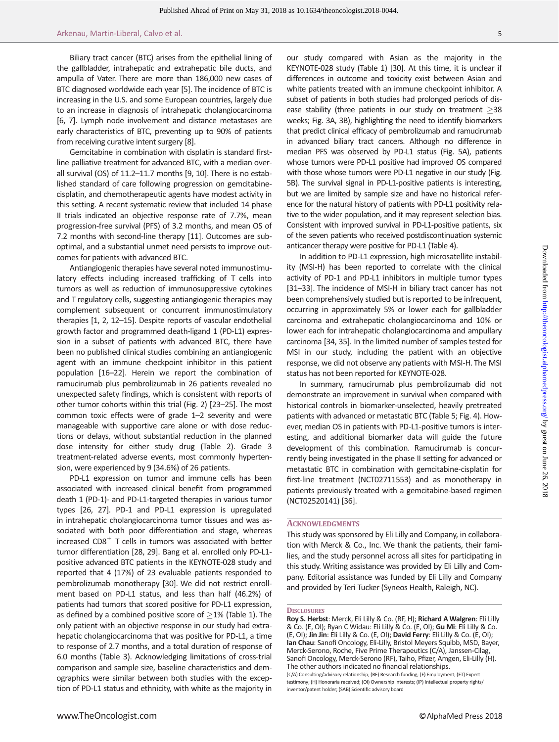Biliary tract cancer (BTC) arises from the epithelial lining of the gallbladder, intrahepatic and extrahepatic bile ducts, and ampulla of Vater. There are more than 186,000 new cases of BTC diagnosed worldwide each year [5]. The incidence of BTC is increasing in the U.S. and some European countries, largely due to an increase in diagnosis of intrahepatic cholangiocarcinoma [6, 7]. Lymph node involvement and distance metastases are early characteristics of BTC, preventing up to 90% of patients from receiving curative intent surgery [8].

Gemcitabine in combination with cisplatin is standard firstline palliative treatment for advanced BTC, with a median overall survival (OS) of 11.2–11.7 months [9, 10]. There is no established standard of care following progression on gemcitabinecisplatin, and chemotherapeutic agents have modest activity in this setting. A recent systematic review that included 14 phase II trials indicated an objective response rate of 7.7%, mean progression-free survival (PFS) of 3.2 months, and mean OS of 7.2 months with second-line therapy [11]. Outcomes are suboptimal, and a substantial unmet need persists to improve outcomes for patients with advanced BTC.

Antiangiogenic therapies have several noted immunostimulatory effects including increased trafficking of T cells into tumors as well as reduction of immunosuppressive cytokines and T regulatory cells, suggesting antiangiogenic therapies may complement subsequent or concurrent immunostimulatory therapies [1, 2, 12–15]. Despite reports of vascular endothelial growth factor and programmed death-ligand 1 (PD-L1) expression in a subset of patients with advanced BTC, there have been no published clinical studies combining an antiangiogenic agent with an immune checkpoint inhibitor in this patient population [16–22]. Herein we report the combination of ramucirumab plus pembrolizumab in 26 patients revealed no unexpected safety findings, which is consistent with reports of other tumor cohorts within this trial (Fig. 2) [23–25]. The most common toxic effects were of grade 1–2 severity and were manageable with supportive care alone or with dose reductions or delays, without substantial reduction in the planned dose intensity for either study drug (Table 2). Grade 3 treatment-related adverse events, most commonly hypertension, were experienced by 9 (34.6%) of 26 patients.

PD-L1 expression on tumor and immune cells has been associated with increased clinical benefit from programmed death 1 (PD-1)- and PD-L1-targeted therapies in various tumor types [26, 27]. PD-1 and PD-L1 expression is upregulated in intrahepatic cholangiocarcinoma tumor tissues and was associated with both poor differentiation and stage, whereas increased  $CDS<sup>+</sup>$  T cells in tumors was associated with better tumor differentiation [28, 29]. Bang et al. enrolled only PD-L1 positive advanced BTC patients in the KEYNOTE-028 study and reported that 4 (17%) of 23 evaluable patients responded to pembrolizumab monotherapy [30]. We did not restrict enrollment based on PD-L1 status, and less than half (46.2%) of patients had tumors that scored positive for PD-L1 expression, as defined by a combined positive score of  $\geq$ 1% (Table 1). The only patient with an objective response in our study had extrahepatic cholangiocarcinoma that was positive for PD-L1, a time to response of 2.7 months, and a total duration of response of 6.0 months (Table 3). Acknowledging limitations of cross-trial comparison and sample size, baseline characteristics and demographics were similar between both studies with the exception of PD-L1 status and ethnicity, with white as the majority in our study compared with Asian as the majority in the KEYNOTE-028 study (Table 1) [30]. At this time, it is unclear if differences in outcome and toxicity exist between Asian and white patients treated with an immune checkpoint inhibitor. A subset of patients in both studies had prolonged periods of disease stability (three patients in our study on treatment  $\geq$ 38 weeks; Fig. 3A, 3B), highlighting the need to identify biomarkers that predict clinical efficacy of pembrolizumab and ramucirumab in advanced biliary tract cancers. Although no difference in median PFS was observed by PD-L1 status (Fig. 5A), patients whose tumors were PD-L1 positive had improved OS compared with those whose tumors were PD-L1 negative in our study (Fig. 5B). The survival signal in PD-L1-positive patients is interesting, but we are limited by sample size and have no historical reference for the natural history of patients with PD-L1 positivity relative to the wider population, and it may represent selection bias. Consistent with improved survival in PD-L1-positive patients, six of the seven patients who received postdiscontinuation systemic anticancer therapy were positive for PD-L1 (Table 4).

In addition to PD-L1 expression, high microsatellite instability (MSI-H) has been reported to correlate with the clinical activity of PD-1 and PD-L1 inhibitors in multiple tumor types [31–33]. The incidence of MSI-H in biliary tract cancer has not been comprehensively studied but is reported to be infrequent, occurring in approximately 5% or lower each for gallbladder carcinoma and extrahepatic cholangiocarcinoma and 10% or lower each for intrahepatic cholangiocarcinoma and ampullary carcinoma [34, 35]. In the limited number of samples tested for MSI in our study, including the patient with an objective response, we did not observe any patients with MSI-H. The MSI status has not been reported for KEYNOTE-028.

In summary, ramucirumab plus pembrolizumab did not demonstrate an improvement in survival when compared with historical controls in biomarker-unselected, heavily pretreated patients with advanced or metastatic BTC (Table 5; Fig. 4). However, median OS in patients with PD-L1-positive tumors is interesting, and additional biomarker data will guide the future development of this combination. Ramucirumab is concurrently being investigated in the phase II setting for advanced or metastatic BTC in combination with gemcitabine-cisplatin for first-line treatment (NCT02711553) and as monotherapy in patients previously treated with a gemcitabine-based regimen (NCT02520141) [36].

#### ACKNOWLEDGMENTS

This study was sponsored by Eli Lilly and Company, in collaboration with Merck & Co., Inc. We thank the patients, their families, and the study personnel across all sites for participating in this study. Writing assistance was provided by Eli Lilly and Company. Editorial assistance was funded by Eli Lilly and Company and provided by Teri Tucker (Syneos Health, Raleigh, NC).

#### **DISCLOSURES**

Roy S. Herbst: Merck, Eli Lilly & Co. (RF, H); Richard A Walgren: Eli Lilly & Co. (E, OI); Ryan C Widau: Eli Lilly & Co. (E, OI); Gu Mi: Eli Lilly & Co. (E, OI); Jin Jin: Eli Lilly & Co. (E, OI); David Ferry: Eli Lilly & Co. (E, OI); Ian Chau: Sanofi Oncology, Eli-Lilly, Bristol Meyers Squibb, MSD, Bayer, Merck-Serono, Roche, Five Prime Therapeutics (C/A), Janssen-Cilag, Sanofi Oncology, Merck-Serono (RF), Taiho, Pfizer, Amgen, Eli-Lilly (H). The other authors indicated no financial relationships.

<sup>(</sup>C/A) Consulting/advisory relationship; (RF) Research funding; (E) Employment; (ET) Expert testimony; (H) Honoraria received; (OI) Ownership interests; (IP) Intellectual property rights/ inventor/patent holder; (SAB) Scientific advisory board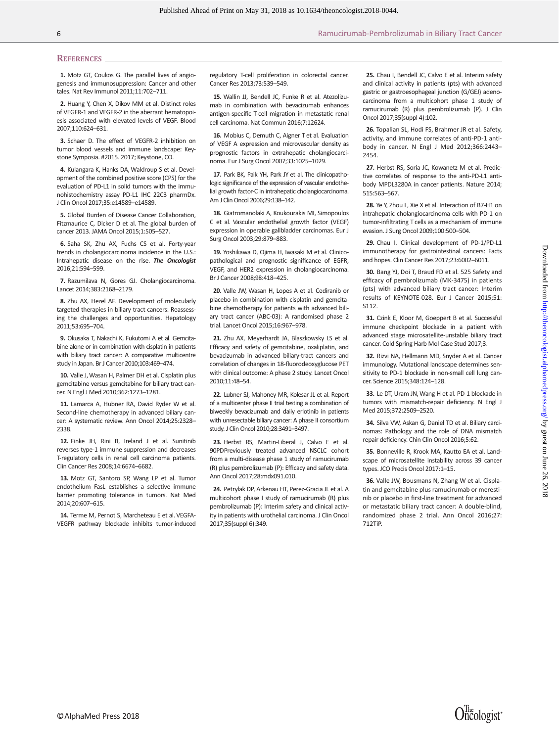#### **REFERENCES**

1. Motz GT, Coukos G. The parallel lives of angiogenesis and immunosuppression: Cancer and other tales. Nat Rev Immunol 2011;11:702–711.

2. Huang Y, Chen X, Dikov MM et al. Distinct roles of VEGFR-1 and VEGFR-2 in the aberrant hematopoiesis associated with elevated levels of VEGF. Blood 2007;110:624–631.

3. Schaer D. The effect of VEGFR-2 inhibition on tumor blood vessels and immune landscape: Keystone Symposia. #2015. 2017; Keystone, CO.

4. Kulangara K, Hanks DA, Waldroup S et al. Development of the combined positive score (CPS) for the evaluation of PD-L1 in solid tumors with the immunohistochemistry assay PD-L1 IHC 22C3 pharmDx. J Clin Oncol 2017;35:e14589–e14589.

5. Global Burden of Disease Cancer Collaboration, Fitzmaurice C, Dicker D et al. The global burden of cancer 2013. JAMA Oncol 2015;1:505–527.

6. Saha SK, Zhu AX, Fuchs CS et al. Forty-year trends in cholangiocarcinoma incidence in the U.S.: Intrahepatic disease on the rise. The Oncologist 2016;21:594–599.

7. Razumilava N, Gores GJ. Cholangiocarcinoma. Lancet 2014;383:2168–2179.

8. Zhu AX, Hezel AF. Development of molecularly targeted therapies in biliary tract cancers: Reassessing the challenges and opportunities. Hepatology 2011;53:695–704.

9. Okusaka T, Nakachi K, Fukutomi A et al. Gemcitabine alone or in combination with cisplatin in patients with biliary tract cancer: A comparative multicentre study in Japan. Br J Cancer 2010;103:469–474.

10. Valle J, Wasan H, Palmer DH et al. Cisplatin plus gemcitabine versus gemcitabine for biliary tract cancer. N Engl J Med 2010;362:1273–1281.

11. Lamarca A, Hubner RA, David Ryder W et al. Second-line chemotherapy in advanced biliary cancer: A systematic review. Ann Oncol 2014;25:2328– 2338.

12. Finke JH, Rini B, Ireland J et al. Sunitinib reverses type-1 immune suppression and decreases T-regulatory cells in renal cell carcinoma patients. Clin Cancer Res 2008;14:6674–6682.

13. Motz GT, Santoro SP, Wang LP et al. Tumor endothelium FasL establishes a selective immune barrier promoting tolerance in tumors. Nat Med 2014;20:607–615.

14. Terme M, Pernot S, Marcheteau E et al. VEGFA-VEGFR pathway blockade inhibits tumor-induced regulatory T-cell proliferation in colorectal cancer. Cancer Res 2013;73:539–549.

15. Wallin JJ, Bendell JC, Funke R et al. Atezolizumab in combination with bevacizumab enhances antigen-specific T-cell migration in metastatic renal cell carcinoma. Nat Commun 2016;7:12624.

16. Mobius C, Demuth C, Aigner T et al. Evaluation of VEGF A expression and microvascular density as prognostic factors in extrahepatic cholangiocarcinoma. Eur J Surg Oncol 2007;33:1025–1029.

17. Park BK, Paik YH, Park JY et al. The clinicopathologic significance of the expression of vascular endothelial growth factor-C in intrahepatic cholangiocarcinoma. Am J Clin Oncol 2006;29:138–142.

18. Giatromanolaki A, Koukourakis MI, Simopoulos C et al. Vascular endothelial growth factor (VEGF) expression in operable gallbladder carcinomas. Eur J Surg Oncol 2003;29:879–883.

19. Yoshikawa D, Ojima H, Iwasaki M et al. Clinicopathological and prognostic significance of EGFR, VEGF, and HER2 expression in cholangiocarcinoma. Br J Cancer 2008;98:418–425.

20. Valle JW, Wasan H, Lopes A et al. Cediranib or placebo in combination with cisplatin and gemcitabine chemotherapy for patients with advanced biliary tract cancer (ABC-03): A randomised phase 2 trial. Lancet Oncol 2015;16:967–978.

21. Zhu AX, Meyerhardt JA, Blaszkowsky LS et al. Efficacy and safety of gemcitabine, oxaliplatin, and bevacizumab in advanced biliary-tract cancers and correlation of changes in 18-fluorodeoxyglucose PET with clinical outcome: A phase 2 study. Lancet Oncol 2010;11:48–54.

22. Lubner SJ, Mahoney MR, Kolesar JL et al. Report of a multicenter phase II trial testing a combination of biweekly bevacizumab and daily erlotinib in patients with unresectable biliary cancer: A phase II consortium study. J Clin Oncol 2010;28:3491–3497.

23. Herbst RS, Martin-Liberal J, Calvo E et al. 90PDPreviously treated advanced NSCLC cohort from a multi-disease phase 1 study of ramucirumab (R) plus pembrolizumab (P): Efficacy and safety data. Ann Oncol 2017;28:mdx091.010.

24. Petrylak DP, Arkenau HT, Perez-Gracia JL et al. A multicohort phase I study of ramucirumab (R) plus pembrolizumab (P): Interim safety and clinical activity in patients with urothelial carcinoma. J Clin Oncol 2017;35(suppl 6):349.

25. Chau I, Bendell JC, Calvo E et al. Interim safety and clinical activity in patients (pts) with advanced gastric or gastroesophageal junction (G/GEJ) adenocarcinoma from a multicohort phase 1 study of ramucirumab (R) plus pembrolizumab (P). J Clin Oncol 2017;35(suppl 4):102.

26. Topalian SL, Hodi FS, Brahmer JR et al. Safety, activity, and immune correlates of anti-PD-1 antibody in cancer. N Engl J Med 2012;366:2443– 2454.

27. Herbst RS, Soria JC, Kowanetz M et al. Predictive correlates of response to the anti-PD-L1 antibody MPDL3280A in cancer patients. Nature 2014; 515:563–567.

28. Ye Y, Zhou L, Xie X et al. Interaction of B7-H1 on intrahepatic cholangiocarcinoma cells with PD-1 on tumor-infiltrating T cells as a mechanism of immune evasion. J Surg Oncol 2009;100:500–504.

29. Chau I. Clinical development of PD-1/PD-L1 immunotherapy for gastrointestinal cancers: Facts and hopes. Clin Cancer Res 2017;23:6002–6011.

30. Bang YJ, Doi T, Braud FD et al. 525 Safety and efficacy of pembrolizumab (MK-3475) in patients (pts) with advanced biliary tract cancer: Interim results of KEYNOTE-028. Eur J Cancer 2015;51: S112.

31. Czink E, Kloor M, Goeppert B et al. Successful immune checkpoint blockade in a patient with advanced stage microsatellite-unstable biliary tract cancer. Cold Spring Harb Mol Case Stud 2017;3.

32. Rizvi NA, Hellmann MD, Snyder A et al. Cancer immunology. Mutational landscape determines sensitivity to PD-1 blockade in non-small cell lung cancer. Science 2015;348:124–128.

33. Le DT, Uram JN, Wang H et al. PD-1 blockade in tumors with mismatch-repair deficiency. N Engl J Med 2015;372:2509–2520.

34. Silva VW, Askan G, Daniel TD et al. Biliary carcinomas: Pathology and the role of DNA mismatch repair deficiency. Chin Clin Oncol 2016;5:62.

35. Bonneville R, Krook MA, Kautto EA et al. Landscape of microsatellite instability across 39 cancer types. JCO Precis Oncol 2017:1–15.

36. Valle JW, Bousmans N, Zhang W et al. Cisplatin and gemcitabine plus ramucirumab or merestinib or placebo in first-line treatment for advanced or metastatic biliary tract cancer: A double-blind, randomized phase 2 trial. Ann Oncol 2016;27: 712TiP.

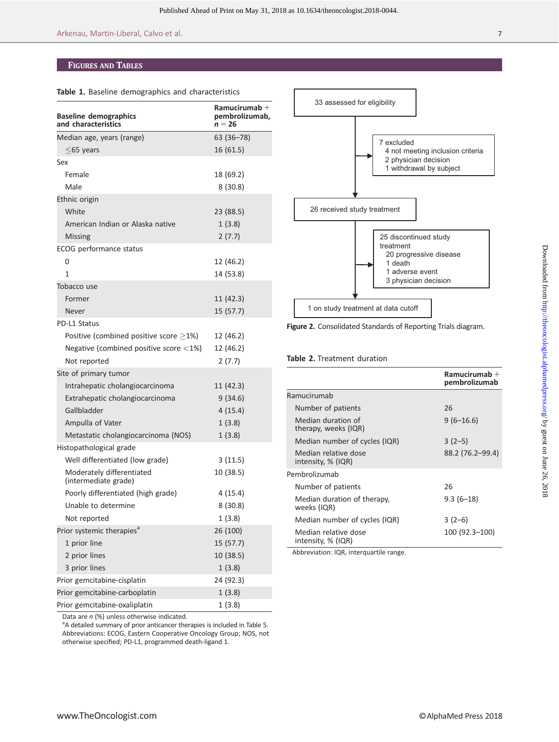# FIGURES AND TABLES

| <b>Baseline demographics</b><br>and characteristics     | Ramucirumab $+$<br>pembrolizumab,<br>$n = 26$ |
|---------------------------------------------------------|-----------------------------------------------|
| Median age, years (range)                               | 63 (36-78)                                    |
| $<$ 65 years                                            | 16 (61.5)                                     |
| Sex                                                     |                                               |
| Female                                                  | 18 (69.2)                                     |
| Male                                                    | 8(30.8)                                       |
| Ethnic origin                                           |                                               |
| White                                                   | 23 (88.5)                                     |
| American Indian or Alaska native                        | 1(3.8)                                        |
| Missing                                                 | 2(7.7)                                        |
| ECOG performance status                                 |                                               |
| 0                                                       | 12 (46.2)                                     |
| 1                                                       | 14 (53.8)                                     |
| Tobacco use                                             |                                               |
| Former                                                  | 11 (42.3)                                     |
| Never                                                   | 15 (57.7)                                     |
| PD-L1 Status                                            |                                               |
| Positive (combined positive score $>1\%$ )              | 12 (46.2)                                     |
| Negative (combined positive score $\langle 1\% \rangle$ | 12 (46.2)                                     |
| Not reported                                            | 2(7.7)                                        |
| Site of primary tumor                                   |                                               |
| Intrahepatic cholangiocarcinoma                         | 11 (42.3)                                     |
| Extrahepatic cholangiocarcinoma                         | 9(34.6)                                       |
| Gallbladder                                             | 4(15.4)                                       |
| Ampulla of Vater                                        | 1(3.8)                                        |
| Metastatic cholangiocarcinoma (NOS)                     | 1(3.8)                                        |
| Histopathological grade                                 |                                               |
| Well differentiated (low grade)                         | 3(11.5)                                       |
| Moderately differentiated<br>(intermediate grade)       | 10 (38.5)                                     |
| Poorly differentiated (high grade)                      | 4(15.4)                                       |
| Unable to determine                                     | 8(30.8)                                       |
| Not reported                                            | 1(3.8)                                        |
| Prior systemic therapies <sup>a</sup>                   | 26 (100)                                      |
| 1 prior line                                            | 15 (57.7)                                     |
| 2 prior lines                                           | 10 (38.5)                                     |
| 3 prior lines                                           | 1(3.8)                                        |
| Prior gemcitabine-cisplatin                             | 24 (92.3)                                     |
| Prior gemcitabine-carboplatin                           | 1(3.8)                                        |

Data are  $n$  (%) unless otherwise indicated.

<sup>a</sup>A detailed summary of prior anticancer therapies is included in Table 5. Abbreviations: ECOG, Eastern Cooperative Oncology Group; NOS, not otherwise specified; PD-L1, programmed death-ligand 1.

Prior gemcitabine-oxaliplatin 1 (3.8)



Figure 2. Consolidated Standards of Reporting Trials diagram.

#### Table 2. Treatment duration

|                                            | Ramucirumab $+$<br>pembrolizumab |
|--------------------------------------------|----------------------------------|
| Ramucirumab                                |                                  |
| Number of patients                         | 26                               |
| Median duration of<br>therapy, weeks (IQR) | $9(6-16.6)$                      |
| Median number of cycles (IQR)              | $3(2-5)$                         |
| Median relative dose<br>intensity, % (IQR) | 88.2 (76.2-99.4)                 |
| Pembrolizumab                              |                                  |
| Number of patients                         | 26                               |
| Median duration of therapy,<br>weeks (IQR) | $9.3(6-18)$                      |
| Median number of cycles (IQR)              | $3(2-6)$                         |
| Median relative dose<br>intensity, % (IQR) | 100 (92.3-100)                   |

Abbreviation: IQR, interquartile range.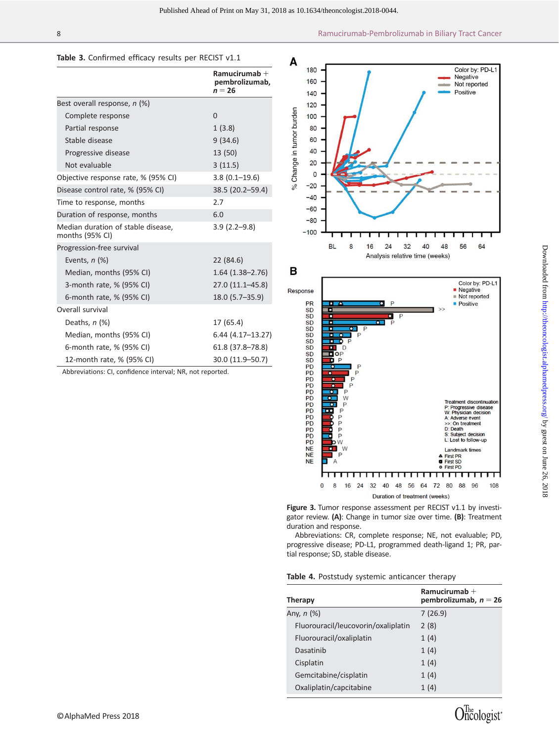#### Table 3. Confirmed efficacy results per RECIST v1.1

|                                                       | Ramucirumab $+$<br>pembrolizumab,<br>$n = 26$ |
|-------------------------------------------------------|-----------------------------------------------|
| Best overall response, n (%)                          |                                               |
| Complete response                                     | $\Omega$                                      |
| Partial response                                      | 1(3.8)                                        |
| Stable disease                                        | 9(34.6)                                       |
| Progressive disease                                   | 13 (50)                                       |
| Not evaluable                                         | 3(11.5)                                       |
| Objective response rate, % (95% CI)                   | $3.8(0.1 - 19.6)$                             |
| Disease control rate, % (95% CI)                      | 38.5 (20.2–59.4)                              |
| Time to response, months                              | 2.7                                           |
| Duration of response, months                          | 6.0                                           |
| Median duration of stable disease,<br>months (95% CI) | $3.9(2.2 - 9.8)$                              |
| Progression-free survival                             |                                               |
| Events, $n$ (%)                                       | 22(84.6)                                      |
| Median, months (95% CI)                               | $1.64(1.38 - 2.76)$                           |
| 3-month rate, % (95% CI)                              | 27.0 (11.1-45.8)                              |
| 6-month rate, % (95% CI)                              | $18.0(5.7 - 35.9)$                            |
| Overall survival                                      |                                               |
| Deaths, $n$ (%)                                       | 17 (65.4)                                     |
| Median, months (95% CI)                               | $6.44(4.17-13.27)$                            |
| 6-month rate, % (95% CI)                              | 61.8 (37.8–78.8)                              |
| 12-month rate, % (95% CI)                             | 30.0 (11.9–50.7)                              |

Abbreviations: CI, confidence interval; NR, not reported.



Duration of treatment (weeks) Figure 3. Tumor response assessment per RECIST v1.1 by investigator review. (A): Change in tumor size over time. (B): Treatment duration and response.

40 48 56

64 72

Abbreviations: CR, complete response; NE, not evaluable; PD, progressive disease; PD-L1, programmed death-ligand 1; PR, partial response; SD, stable disease.

|  | Table 4. Poststudy systemic anticancer therapy |  |  |
|--|------------------------------------------------|--|--|
|--|------------------------------------------------|--|--|

 $\mathsf{M}$ 

 $\pmb{0}$  $\bf 8$  $16$  $24$  $32$ 

| Therapy           |                                     | Ramucirumab $+$<br>pembrolizumab, $n = 26$ |
|-------------------|-------------------------------------|--------------------------------------------|
| Any, <i>n</i> (%) |                                     | 7(26.9)                                    |
|                   | Fluorouracil/leucovorin/oxaliplatin | 2(8)                                       |
|                   | Fluorouracil/oxaliplatin            | 1(4)                                       |
|                   | Dasatinib                           | 1(4)                                       |
|                   | Cisplatin                           | 1(4)                                       |
|                   | Gemcitabine/cisplatin               | 1(4)                                       |
|                   | Oxaliplatin/capcitabine             | 1(4)                                       |
|                   |                                     |                                            |

Landmark tim **First PR** First SD<br>First PD  $\overline{\phantom{0}}$ 

108

80 88 96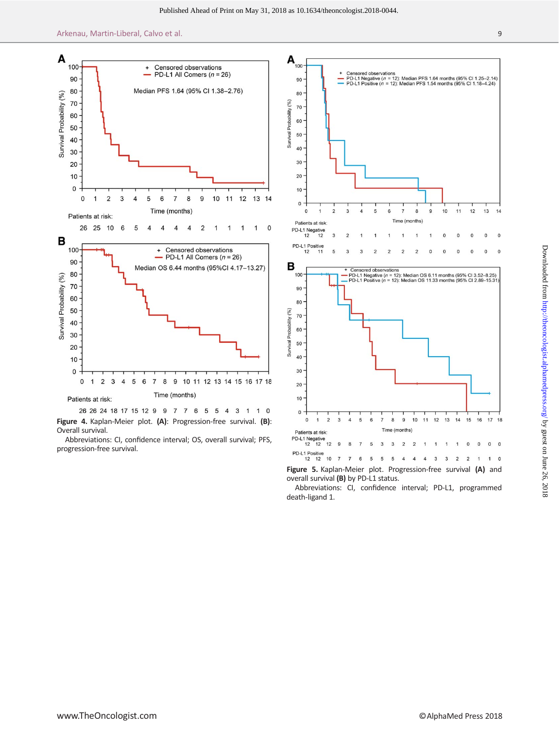



Abbreviations: CI, confidence interval; OS, overall survival; PFS, progression-free survival.



Figure 5. Kaplan-Meier plot. Progression-free survival (A) and overall survival (B) by PD-L1 status.

Abbreviations: CI, confidence interval; PD-L1, programmed death-ligand 1.